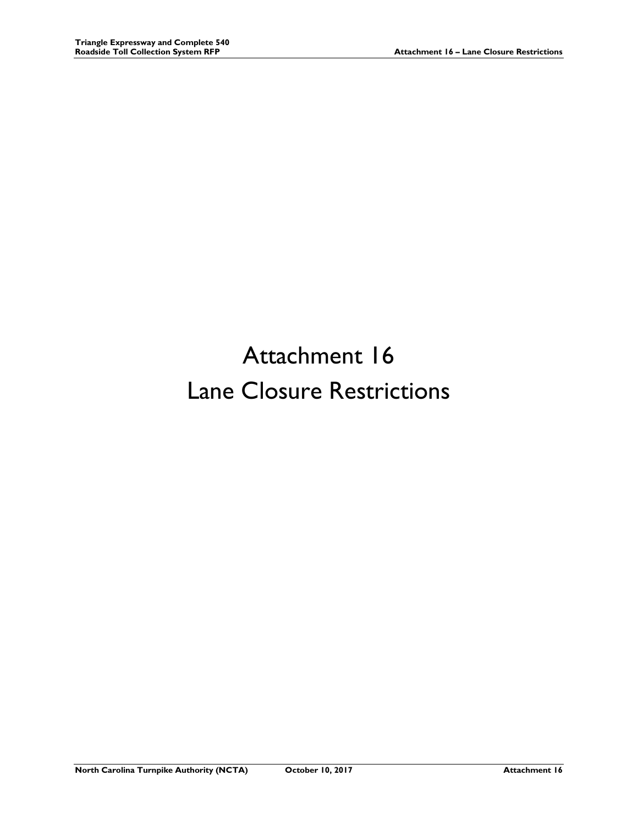## Attachment 16 Lane Closure Restrictions